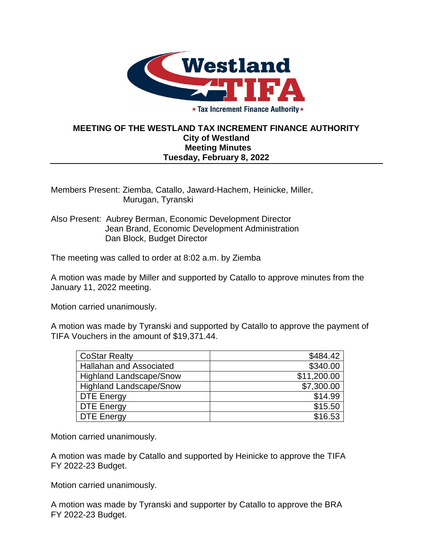

★ Tax Increment Finance Authority ★

## **MEETING OF THE WESTLAND TAX INCREMENT FINANCE AUTHORITY City of Westland Meeting Minutes Tuesday, February 8, 2022**

Members Present: Ziemba, Catallo, Jaward-Hachem, Heinicke, Miller, Murugan, Tyranski

Also Present: Aubrey Berman, Economic Development Director Jean Brand, Economic Development Administration Dan Block, Budget Director

The meeting was called to order at 8:02 a.m. by Ziemba

A motion was made by Miller and supported by Catallo to approve minutes from the January 11, 2022 meeting.

Motion carried unanimously.

A motion was made by Tyranski and supported by Catallo to approve the payment of TIFA Vouchers in the amount of \$19,371.44.

| <b>CoStar Realty</b>           | \$484.42    |
|--------------------------------|-------------|
| Hallahan and Associated        | \$340.00    |
| <b>Highland Landscape/Snow</b> | \$11,200.00 |
| <b>Highland Landscape/Snow</b> | \$7,300.00  |
| <b>DTE Energy</b>              | \$14.99     |
| <b>DTE Energy</b>              | \$15.50     |
| DTE Energy                     | \$16.53     |

Motion carried unanimously.

A motion was made by Catallo and supported by Heinicke to approve the TIFA FY 2022-23 Budget.

Motion carried unanimously.

A motion was made by Tyranski and supporter by Catallo to approve the BRA FY 2022-23 Budget.